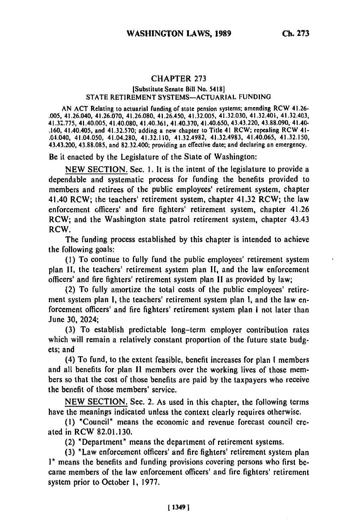## CHAPTER **273**

## [Substitute Senate Bill No. 5418] STATE RETIREMENT SYSTEMS-ACTUARIAL FUNDING

AN ACT Relating to actuarial funding of state pension systems; amending RCW 41.26- .005, 41.26.040, 41.26.070, 41.26.080, 41.26.450, 41.32.005, 41.32.030, 41.32.401, 41.32.403, 41.32.775, 41.40.005, 41.40.080, 41.40.361, 41.40.370, 41.40.650, 43.43.220, 43.88.090, 41.40.<br>41.32.775, 41.40.005, 41.40.080, 41.40.361, 41.40.370, 41.40.650, 43.43.220, 43.88.090, 41.40 .160, 41.40.405, and 41.32.570; adding a new chapter to Title 41 RCW; repealing RCW 41-<br>.04.040, 41.04.050, 41.04.280, 41.32.110, 41.32.4982, 41.32.4983, 41.40.065, 41.32.150, 43.43.200, 43.88.085, and 82.32.400; providing an effective date; and declaring an emergency.

Be it enacted **by** the Legislature of the State of Washington:

NEW SECTION. Sec. I. It is the intent of the legislature to provide a dependable and systematic process for funding the benefits provided to members and retirees of the public employees' retirement system, chapter 41.40 RCW; the teachers' retirement system, chapter 41.32 RCW; the law enforcement officers' and fire fighters' retirement system, chapter 41.26 RCW; and the Washington state patrol retirement system, chapter 43.43 RCW.

The funding process established by this chapter is intended to achieve the following goals:

(1) To continue to fully fund the public employees' retirement system plan **11,** the teachers' retirement system plan **II,** and the law enforcement officers' and fire fighters' retirement system plan II as provided by law;

(2) To fully amortize the total costs of the public employees' retirement system plan **I,** the teachers' retirement system plan **I,** and the law enforcement officers' and fire fighters' retirement system plan **I** not later than June **30,** 2024;

**(3)** To establish predictable long-term employer contribution rates which will remain a relatively constant proportion of the future state budgets; and

(4) To fund, to the extent feasible, benefit increases for plan **I** members and all benefits for plan **1I** members over the working lives of those members so that the cost of those benefits are paid **by** the taxpayers who receive the benefit of those members' service.

**NEW SECTION.** Sec. 2. As used in this chapter, the following terms have the meanings indicated unless the context clearly requires otherwise.

**(I)** "Council" means the economic and revenue forecast council created in RCW **82.01.130.**

(2) "Department" means the department of retirement systems.

**(3)** "Law enforcement officers' and fire fighters' retirement system plan **I"** means the benefits and funding provisions covering persons who first **be**came members of the law enforcement officers' and fire fighters' retirement system prior to October **1, 1977.**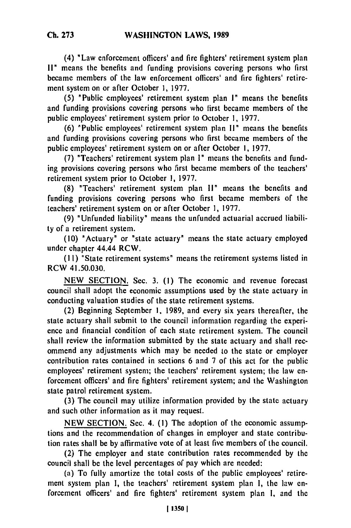(4) "Law enforcement officers' and fire fighters' retirement system plan **11"** means the benefits and funding provisions covering persons who first became members of the law enforcement officers' and fire fighters' retirement system on or after October **1, 1977.**

(5) "Public employees' retirement system plan 1" means the benefits and funding provisions covering persons who first became members of the public employees' retirement system prior to October **1,** 1977.

(6) "Public employees' retirement system plan **I"** means the benefits and funding provisions covering persons who first became members of the public employees' retirement system on or after October **1,** 1977.

(7) "Teachers' retirement system plan **I"** means the benefits and funding provisions covering persons who first became members of the teachers' retirement system prior to October **1,** 1977.

(8) "Teachers' retirement system plan **11"** means the benefits and funding provisions covering persons who first became members of the teachers' retirement system on or after October **1,** 1977.

(9) "Unfunded liability" means the unfunded actuarial accrued liability of a retirement system.

(10) "Actuary" or "state actuary" means the state actuary employed under chapter 44.44 RCW.

(11) "State retirement systems" means the retirement systems listed in RCW 41.50.030.

NEW SECTION. Sec. 3. **(1)** The economic and revenue forecast council shall adopt the economic assumptions used by the state actuary in conducting valuation studies of the state retirement systems.

(2) Beginning September 1, 1989, and every six years thereafter, the state actuary shall submit to the council information regarding the experience and financial condition of each state retirement system. The council shall review the information submitted **by** the state actuary and shall recommend any adjustments which may be needed to the state or employer contribution rates contained in sections 6 and 7 of this act for the public employees' retirement system; the teachers' retirement system; the law enforcement officers' and fire fighters' retirement system; and the Washington state patrol retirement system.

(3) The council may utilize information provided **by** the state actuary and such other information as it may request.

NEW SECTION. Sec. 4. (1) The adoption of the economic assumptions and the recommendation of changes in employer and state contribution rates shall be by affirmative vote of at least five members of the council.

(2) The employer and state contribution rates recommended by the council shall be the level percentages of pay which are needed:

(a) To fully amortize the total costs of the public employees' retirement system plan **1,** the teachers' retirement system plan **I,** the law enforcement officers' and fire fighters' retirement system plan **1,** and the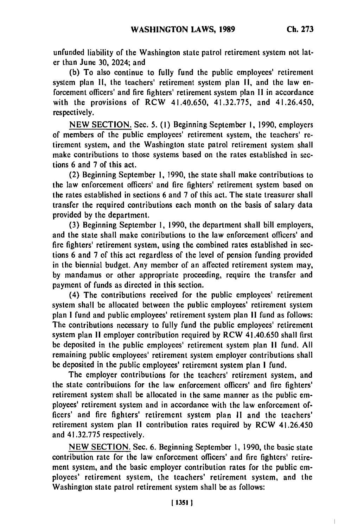$\overline{a}$ 

unfunded liability of the Washington state patrol retirement system not later than June **30,** 2024; and

**(b)** To also continue to fully fund the public employees' retirement system plan **I,** the teachers' retirement system plan **11,** and the law enforcement officers' and fire fighters' retirement system plan **I!** in accordance with the provisions of RCW 41.40.650, 41.32.775, and 41.26.450, respectively.

NEW SECTION. Sec. 5. **(1)** Beginning September I, 1990, employers of members of the public employees' retirement system, the teachers' retirement system, and the Washington state patrol retirement system shall make contributions to those systems based on the rates established in sections 6 and **7** of this act.

(2) Beginning September **1,** 1990, the state shall make contributions to the law enforcement officers' and fire fighters' retirement system based on the rates established in sections 6 and **7** of this act. The state treasurer shall transfer the required contributions each month on the basis of salary data provided by the department.

**(3)** Beginning September **1,** 1990, the department shall bill employers, and the state shall make contributions to the law enforcement officers' and fire fighters' retirement system, using **the** combined rates established in sections 6 and 7 of this act regardless of the level of pension funding provided in the biennial budget. Any member of an affected retirement system may, by mandamus or other appropriate proceeding, require the transfer and payment of funds as directed in this section.

(4) The contributions received for the public employees' retirement system shall be allocated between the public employees' retirement system plan I fund and public employees' retirement system plan II fund as follows: The contributions necessary to fully fund the public employees' retirement system plan **11** employer contribution required by RCW 41.40.650 shall first be deposited in the public employees' retirement system plan II fund. **All** remaining public employees' retirement system employer contributions shall **be** deposited in the public employees' retirement system plan **I** fund.

The employer contributions for the teachers' retirement system, and the state contributions for the law enforcement officers' and fire fighters' retirement system shall be allocated in the same manner as the public employees' retirement system and in accordance with the law enforcement officers' and fire fighters' retirement system plan **II** and the teachers' retirement system plan II contribution rates required **by** RCW 41.26.450 and 41.32.775 respectively.

NEW SECTION. Sec. 6. Beginning September **1,** 1990, the basic state contribution rate for the law enforcement officers' and fire fighters' retirement system, and the basic employer contribution rates for the public employees' retirement system, the teachers' retirement system, and the Washington state patrol retirement system shall be as follows: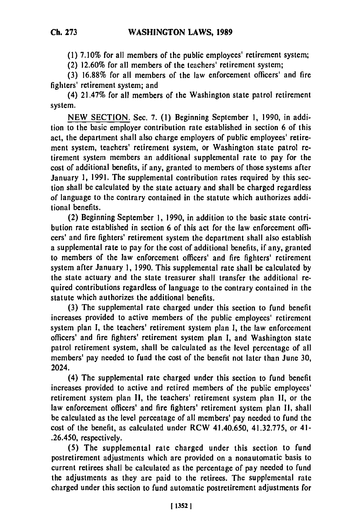**(1) 7.10%** for all members of the public employees' retirement system;

(2) **12.60%** for all members of the teachers' retirement system;

**(3) 16.88%** for all members of the law enforcement officers' and fire fighters' retirement system; and

(4) 21.47% for all members of the Washington state patrol retirement system.

**NEW SECTION.** Sec. **7. (1)** Beginning September **1, 1990,** in addition to the basic employer contribution rate established in section **6** of this act, the department shall also charge employers of public employees' retirement system, teachers' retirement system, or Washington state patrol **re**tirement system members an additional supplemental rate to pay for the cost of additional benefits, if any, granted to members of those systems after January **1, 1991.** The supplemental contribution rates required **by** this section shall be calculated **by** the state actuary and shall be charged regardless of language to the contrary contained in the statute which authorizes additional benefits.

(2) Beginning September **1, 1990,** in addition to the basic state contribution rate established in section **6** of this act for the law enforcement officers' and fire fighters' retirement system the department shall also establish a supplemental rate to pay for the cost of additional benefits, if any, granted to members of the law enforcement officers' and fire fighters' retirement system after January **1, 1990.** This supplemental rate shall **be** calculated **by** the state actuary and the state treasurer shall transfer the additional required contributions regardless of language to the contrary contained in the statute which authorizes the additional benefits.

**(3)** The supplemental rate charged under this section to fund **benefit** increases provided to active members of the public employees' retirement system plan **I,** the teachers' retirement system plan **I,** the law enforcement officers' and fire fighters' retirement system plan **1,** and Washington state patrol retirement system, shall be calculated as the level percentage of all members' pay needed to fund the cost of the benefit not later than June **30,** 2024.

(4) The supplemental rate charged under this section to fund benefit increases provided to active and retired members of the public employees' retirement system plan **11,** the teachers' retirement system plan **1I,** or the law enforcement officers' and fire fighters' retirement system plan **11,** shall be calculated as the level percentage of all members' pay needed to fund the cost of the benefit, as calculated under RCW 41.40.650, **41.32.775,** or 41- .26.450, respectively.

**(5)** The supplemental rate charged under this section to fund postretirement adjustments which are provided on a nonautomatic basis to current retirees shall be calculated as the percentage of pay needed to fund the adjustments as they are paid to the retirees. The supplemental rate charged under this section to fund automatic postretirement adjustments for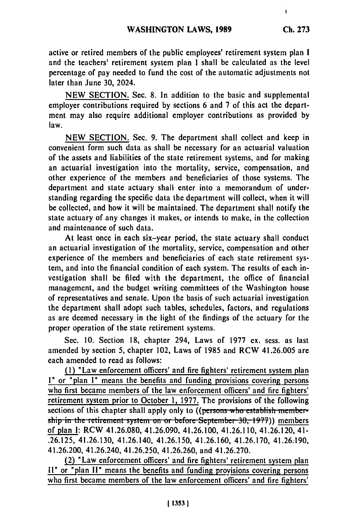i.

active or retired members of the public employees' retirement system plan **I** and the teachers' retirement system plan I shall be calculated as the level percentage of pay needed to fund the cost of the automatic adjustments not later than June **30,** 2024.

**NEW SECTION.** Sec. **8.** In addition to the basic and supplemental employer contributions required **by** sections **6** and 7 of this act the department may also require additional employer contributions as provided **by** law.

**NEW SECTION.** Sec. **9.** The department shall collect and keep in convenient form such data as shall be necessary for an actuarial valuation of the assets and liabilities of the state retirement systems, and for making an actuarial investigation into the mortality, service, compensation, and other experience of the members and beneficiaries of those systems. The department and state actuary shall enter into a memorandum of understanding regarding the specific data the department will collect, when it will be collected, and how it will be maintained. The department shall notify the state actuary of any changes it makes, or intends to make, in the collection and maintenance of such data.

At least once in each six-year period, the state actuary shall conduct an actuarial investigation of the mortality, service, compensation and other experience of the members and beneficiaries of each state retirement system, and into the financial condition of each system. The results of each investigation shall be filed with the department, the office of financial management, and the budget writing committees of the Washington house of representatives and senate. Upon the basis of such actuarial investigation the department shall adopt such tables, schedules, factors, and regulations as are deemed necessary in the light of the findings of the actuary for the proper operation of the state retirement systems.

Sec. **10.** Section **18,** chapter 294, Laws of **1977** ex. sess. as last amended **by** section **5,** chapter 102, Laws of **1985** and RCW 41.26.005 are each amended to read as follows:

**(I)** "Law enforcement officers' and fire fighters' retirement system plan I" or "plan **I"** means the benefits and funding provisions covering persons who first became members of the law enforcement officers' and fire fighters' retirement system prior to October **1, 1977.** The provisions of the following sections of this chapter shall apply only to **((persons-who establish member**ship in the retirement system on or before September 30, 1977)) members of plan **I:** RCW 41.26.080, 41.26.090, 41.26.100, 41.26.110, 41.26.120, 41- **.26.125,** 41.26.130, 41.26.140, 41.26.150, 41.26.160, 41.26.170, 41.26;190, 41.26.200, 41.26.240, 41.26.250, 41.26.260, and 41.26.270.

(2) "Law enforcement officers' and fire fighters' retirement system plan **II"** or "plan **II"** means the benefits and funding provisions covering persons who first became members of the law enforcement officers' and fire fighters'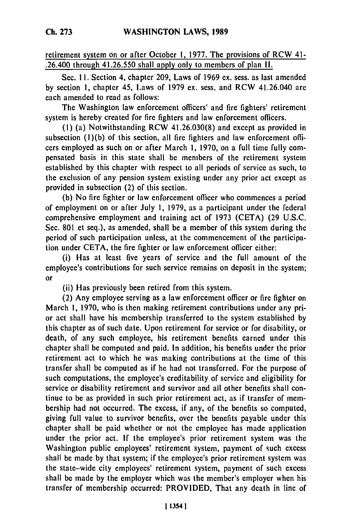retirement system on or after October **1, 1977.** The provisions of RCW 41- .26.400 through **41.26.550** shall apply only to members of plan **II.**

Sec. **11.** Section 4, chapter **209,** Laws of **1969** ex. sess. as last amended **by** section **1,** chapter 45, Laws of **1979** ex. sess. and RCW 41.26.040 are each amended to read as follows:

The Washington law enforcement officers' and fire fighters' retirement system is hereby created for fire fighters and law enforcement officers.

**(1)** (a) Notwithstanding RCW **41.26.030(8)** and except as provided in subsection **(1)(b)** of this section, all fire fighters and law enforcement officers employed as such on or after March **1, 1970,** on a full time fully compensated basis in this state shall be members of the retirement system established **by** this chapter with respect to all periods of service as such, to the exclusion of any pension system existing **under** any prior act except as provided in subsection (2) of this section.

**(b)** No fire fighter or law enforcement officer who commences a period of employment on or after July **1, 1979,** as a participant under the federal comprehensive employment and training act of **1973 (CETA) (29 U.S.C.** Sec. **801** et seq.), as amended, shall be a member of this system during the period of such participation unless, at the commencement of the participation under **CETA,** the fire fighter or law enforcement officer either:

(i) **Has** at least five years of service and the full amount of the employee's contributions for such service remains on deposit in the system; or

(ii) Has previously been retired from this system.

(2) Any employee serving as a law enforcement officer or fire fighter on March **1, 1970,** who is then making retirement contributions under any prior act shall have his membership transferred to the system established **by** this chapter as of such date. Upon retirement for service or for disability, or death, of any such employee, his retirement benefits earned under this chapter shall be computed and paid. In addition, his benefits under the prior retirement act to which he was making contributions at the time of this transfer shall be computed as if he had not transferred. For the purpose of such computations, the employee's creditability of service and eligibility for service or disability retirement and survivor and all other benefits shall continue to be as provided in such prior retirement act, as if transfer of membership had not occurred. The excess, if any, of the benefits so computed, giving full value to survivor benefits, over the benefits payable under this chapter shall be paid whether or not the employee has made application under the prior act. If the employee's prior retirement system was the Washington public employees' retirement system, payment of such excess shall be made **by** that system; if the employee's prior retirement system was the state-wide city employees' retirement system, payment of such excess shall be made **by** the employer which was the member's employer when his transfer of membership occurred: PROVIDED, That any death in line of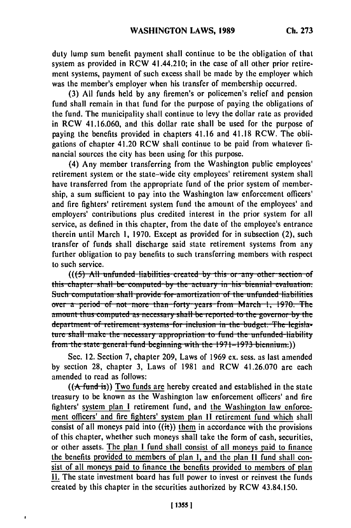duty lump sum benefit payment shall continue to be the obligation of that system as provided in RCW 41.44.210; in the case of all other prior retirement systems, payment of such excess shall be made by the employer which was the member's employer when his transfer of membership occurred.

(3) All funds held by any firemen's or policemen's relief and pension fund shall remain in that fund for the purpose of paying the obligations of the fund. The municipality shall continue to levy the dollar rate as provided in RCW 41.16.060, and this dollar rate shall be used for the purpose of paving the benefits provided in chapters 41.16 and 41.18 RCW. The obligations of chapter 41.20 RCW shall continue to be paid from whatever financial sources the city has been using for this purpose.

(4) Any member transferring from the Washington public employees' retirement system or the state-wide city employees' retirement system shall have transferred from the appropriate fund of the prior system of membership, a sum sufficient to pay into the Washington law enforcement officers' and fire fighters' retirement system fund the amount of the employees' and employers' contributions plus credited interest in the prior system for all service, as defined in this chapter, from the date of the employee's entrance therein until March 1, 1970. Except as provided for in subsection (2), such transfer of funds shall discharge said state retirement systems from any further obligation to pay benefits to such transferring members with respect to such service.

 $((5)$  All unfunded liabilities created by this or any other section of this chapter shall be computed by the actuary in his biennial evaluation. Such computation shall provide for amortization of the unfunded liabilities over a period of not more than forty years from March 1, 1970. The amount thus computed as necessary shall be reported to the governor by the department of retirement systems-for inclusion in the budget. The legislature shall make the necessary appropriation to fund the unfunded liability from the state general fund beginning with the  $1971-1973$  biennium.)

Sec. 12. Section 7, chapter 209, Laws of 1969 ex. sess. as last amended by section 28, chapter 3, Laws of 1981 and RCW 41.26.070 are each amended to read as follows:

 $((A$  fund is)) Two funds are hereby created and established in the state treasury to be known as the Washington law enforcement officers' and fire fighters' system plan I retirement fund, and the Washington law enforcement officers' and fire fighters' system plan II retirement fund which shall consist of all moneys paid into  $((*it*))$  them in accordance with the provisions of this chapter, whether such moneys shall take the form of cash, securities, or other assets. The plan I fund shall consist of all moneys paid to finance the benefits provided to members of plan I, and the plan II fund shall consist of all moneys paid to finance the benefits provided to members of plan II. The state investment board has full power to invest or reinvest the funds created by this chapter in the securities authorized by RCW 43.84.150.

 $\overline{1}$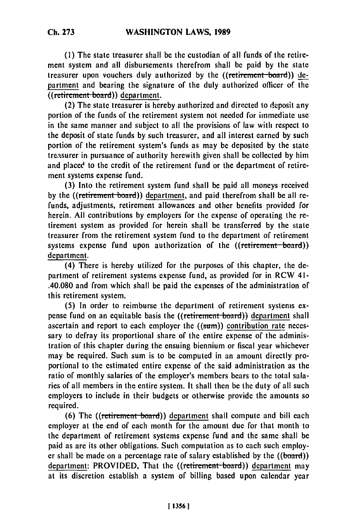**(1)** The state treasurer shall be the custodian of all funds of the retirement system and all disbursements therefrom shall be paid **by** the state treasurer upon vouchers duly authorized by the ((retirement board)) department and bearing the signature of the duly authorized officer of the ((retirement board)) department.

(2) The state treasurer is hereby authorized and directed to deposit any portion of the funds of the retirement system not needed for immediate use in the same manner and subject to all the provisions of law with respect to the deposit of state funds by such treasurer, and all interest earned by such portion of the retirement system's funds as may be deposited by the state treasurer in pursuance of authority herewith given shall be collected by him and placed to the credit of the retirement fund or the department of retirement systems expense fund.

(3) Into the retirement system fund shall be paid all moneys received by the ((retirement board)) department, and paid therefrom shall be all refunds, adjustments, retirement allowances and other benefits provided for herein. All contributions by employers for the expense of operating the retirement system as provided for herein shall be transferred by the state treasurer from the retirement system fund to the department of retirement systems expense fund upon authorization of the ((retirement board)) department.

(4) There is hereby utilized for the purposes of this chapter, the department of retirement systems expense fund, as provided for in RCW 41- .40.080 and from which shall be paid the expenses of the administration of this retirement system.

**(5)** In order to reimburse the department of retirement systems expense fund on an equitable basis the ((retirement board)) department shall ascertain and report to each employer the  $((sum))$  contribution rate necessary to defray its proportional share of the entire expense of the administration of this chapter during the ensuing biennium or fiscal year whichever may be required. Such sum is to be computed in an amount directly proportional to the estimated entire expense of the said administration as the ratio of monthly salaries of the employer's members bears to the total salaries of all members in the entire system. It shall then be the duty of all such employers to include in their budgets or otherwise provide the amounts so required.

(6) The ((retirement board)) department shall compute and bill each employer at the end of each month for the amount due for that month to the department of retirement systems expense fund and the same shall be paid as are its other obligations. Such computation as to each such employer shall be made on a percentage rate of salary established by the  $((**board**))$ department: PROVIDED, That the ((retirement-board)) department may at its discretion establish a system of billing based upon calendar year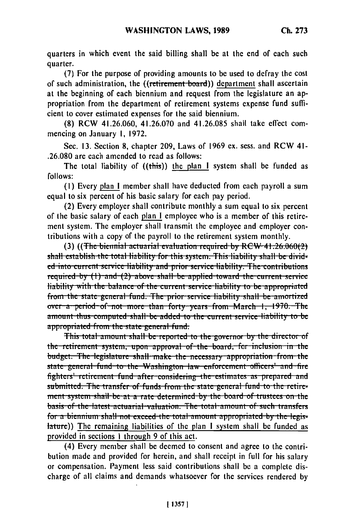quarters in which event the said billing shall be at the end of each such quarter.

(7) For the purpose of providing amounts to be used to defray the cost of such administration, the ((retirement board)) department shall ascertain at the beginning of each biennium and request from the legislature an appropriation from the department of retirement systems expense fund sufficient to cover estimated expenses for the said biennium.

(8) RCW 41.26.060, 41.26.070 and 41.26.085 shall take effect commencing on January 1, 1972.

Sec. 13. Section 8, chapter 209, Laws of 1969 ex. sess. and RCW 41-.26.080 are each amended to read as follows:

The total liability of ((this)) the plan I system shall be funded as follows:

(1) Every plan I member shall have deducted from each payroll a sum equal to six percent of his basic salary for each pay period.

(2) Every employer shall contribute monthly a sum equal to six percent of the basic salary of each plan I employee who is a member of this retirement system. The employer shall transmit the employee and employer contributions with a copy of the payroll to the retirement system monthly.

 $(3)$  ((The biennial actuarial evaluation required by RCW-41.26.060(2) shall establish the total liability for this system. This liability shall be divided into current service liability and prior service liability. The contributions required by (1) and (2) above shall be applied toward the current service liability with the balance of the current service liability to be appropriated from the state general fund. The prior service liability shall be amortized over a period of not more than forty years from March 1, 1970. The amount thus computed shall be added to the current service liability to be appropriated from the state general fund.

This total amount shall be reported to the governor by the director of the retirement system, upon approval of the board, for inclusion in the budget. The legislature shall make the necessary appropriation from the state general fund to the Washington law enforcement officers' and fire fighters' retirement fund after considering the estimates as prepared and submitted. The transfer of funds from the state general fund to the retirement system shall be at a rate determined by the board of trustees on the basis of the latest actuarial valuation. The total amount of such transfers for a biennium shall not exceed the total amount appropriated by the legislature)) The remaining liabilities of the plan I system shall be funded as provided in sections 1 through 9 of this act.

(4) Every member shall be deemed to consent and agree to the contribution made and provided for herein, and shall receipt in full for his salary or compensation. Payment less said contributions shall be a complete discharge of all claims and demands whatsoever for the services rendered by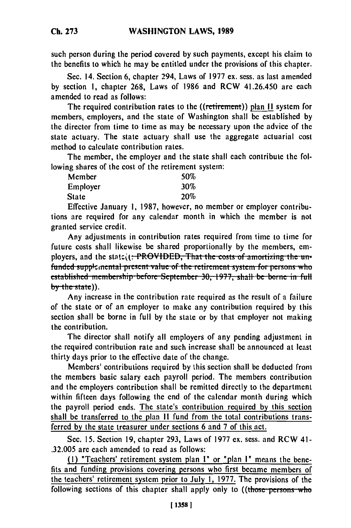such person during the period covered **by** such payments, except his claim to the benefits to which he may be entitled under the provisions of this chapter.

Sec. 14. Section **6,** chapter 294, Laws of **1977** ex. sess. as last amended **by** section **1,** chapter **268,** Laws of **1986** and RCW 41.26.450 are each amended to read as follows:

The required contribution rates to the ((retirement)) **plan II** system for members, employers, and the state of Washington shall be established **by** the director from time to time as may **be** necessary upon the advice of the state actuary. The state actuary shall use the aggregate actuarial cost method to calculate contribution rates.

The member, the employer and the state shall each contribute the following shares of the cost of the retirement system:

| Member   | 50%        |
|----------|------------|
| Employer | $30\%$     |
| State    | <b>20%</b> |

Effective January **1, 1987,** however, no member or employer contributions are required for any calendar month in which the member is not granted service credit.

Any adjustments in contribution rates required from time to time for future costs shall likewise **be** shared proportionally **by** the members, employers, and the stat z. (<del>): PROVIDED, That the costs of amortizing the un-<br>funded supplemental present value of the retirement system for persons who</del> established membership before September 30, 1977, shall be borne in full by the state)).

Any increase in the contribution rate required as the result of a failure of the state or of an employer to make any contribution required **by** this section shall be borne in full **by** the state or **by** that employer not making the contribution.

The director shall notify all employers of any pending adjustment in the required contribution rate and such increase shall **be** announced at least thirty days prior to the effective date of the change.

Members' contributions required **by** this section shall **be** deducted from the members basic salary each payroll period. The members contribution and the employers contribution shall **be** remitted directly to the department within fifteen days following the end of the calendar month during which the payroll period ends. The state's contribution required **by** this section shall **be** transferred to the plan **II** fund from the total contributions transferred **by** the state treasurer under sections **6** and **7** of this act.

Sec. **15.** Section **19,** chapter **293,** Laws of **1977 cx.** sess. and RCW 41- **.32.005** are each amended to read as follows:

**(1)** "Teachers' retirement system plan **"** or "plan **I"** means the **bene**fits and funding provisions covering persons who first became members of the teachers' retirement system prior to July **1, 1977.** The provisions of the following sections of this chapter shall apply only to ((those persons who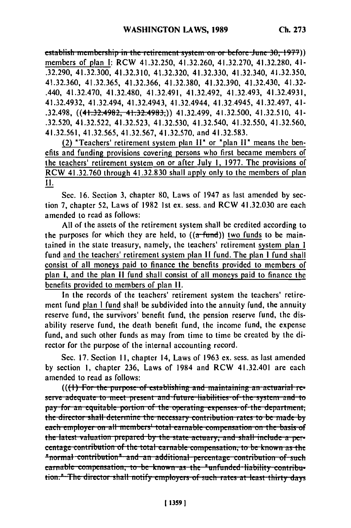establish membership in the retirement system on or before June 30, 1977)) members of plan **1:** RCW 41.32.250, 41.32.260, 41.32.270, 41.32.280, 41- .32.290, 41.32.300, 41.32.310, 41.32.320, 41.32.330, 41.32.340, 41.32.350, 41.32.360, 41.32.365, 41.32.366, 41.32.380, 41.32.390, 41.32.430, 41.32- .440, 41.32.470, 41.32.480, 41.32.491, 41.32.492, 41.32.493, 41.32.4931, 41.32.4932, 41.32.494, 41.32.4943, 41.32.4944, 41.32.4945, 41.32.497, 41- .32.498, ((41.32.4982, 41.32.4983,)) 41.32.499, 41.32.500, 41.32.510, 41- .32.520, 41.32.522, 41.32.523, 41.32.530, 41.32.540, 41.32.550, 41.32.560, 41.32.561, 41.32.565, 41.32.567, 41.32.570, and 41.32.583.

(2) "Teachers' retirement system plan **11"** or "plan **1l"** means the benefits and funding provisions covering persons who first became members of the teachers' retirement system on or after July **1,** 1977. The provisions of RCW 41.32.760 through 41.32.830 shall apply only to the members of plan **II.**

Sec. 16. Section 3, chapter 80, Laws of 1947 as last amended by section **7,** chapter 52, Laws of 1982 1st ex. sess. and RCW 41.32.030 are each amended to read as follows:

All of the assets of the retirement system shall be credited according to the purposes for which they are held, to  $((a$ -fund)) two funds to be maintained in the state treasury, namely, the teachers' retirement system plan I fund and the teachers' retirement system plan **11** fund. The plan **I** fund shall consist of all moneys paid to finance the benefits provided to members of plan **i,** and the plan **11** fund shall consist of all moneys paid to finance the benefits provided to members of plan **11.**

In the records of the teachers' retirement system the teachers' retirement fund plan I fund shall be subdivided into the annuity fund, the annuity reserve fund, the survivors' benefit fund, the pension reserve fund, the disability reserve fund, the death benefit fund, the income fund, the expense fund, and such other funds as may from time to time be created by the director for the purpose of the internal accounting record.

Sec. 17. Section **11,** chapter 14, Laws of 1963 ex. sess. as last amended by section **1,** chapter 236, Laws of 1984 and RCW 41.32.401 are each amended to read as follows:

 $((\text{+)}$  For the purpose of establishing and maintaining an actuarial re**pay. pay. paying the adequate to meet present and future liabilities of the system and to** pay for an equitable portion of the operating expenses of the department, the director shall determine the necessary contribution rates to be made by each employer on all members' total earnable compensation on the basis of **the latest valuation prepared by the state active and shall include a pe. 1116 Tatest valuation prepared by the state actuary, and shall include a per-Example Contribution of the total carnable compensation, to be known as the <br><b>Inormal contribution<sup>8</sup>** and an additional percentage contribution of suc **carnable compensation**; to be known as the "unfunded liability contribu**tion.**<sup>*n*</sup>-The director shall notify employers of such rates at least thirty days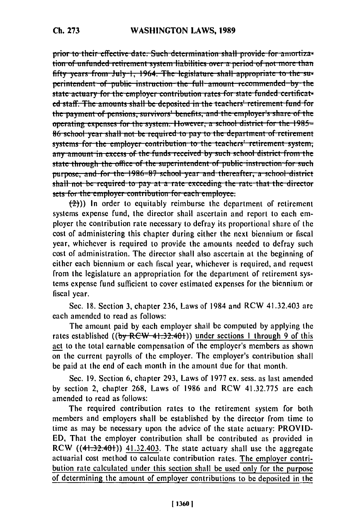prior to their effective date. Such determination shall provide for amortization of unfunded retirement system liabilities over a period of not more than fifty years from July 1, 1964. The legislature shall appropriate to the superintendent of public instruction the full amount recommended by the state actuary for the employer contribution rates for state funded certificated staff. The amounts shall be deposited in the teachers' retirement fund for the payment of pensions, survivors' benefits, and the employer's share of the operating expenses for the system. However, a school district for the 1985= 86 school year shall not be required to pay to the department of retirement systems for the employer contribution to the teachers' retirement system, any amount in excess of the funds received by such school district from the state through the office of the superintendent of public instruction for such purpose, and for the 1986-87 school year and thereafter, a school district shall not be required to pay at a rate exceeding the rate that the director sets for the employer contribution for each employee.

 $\left(\frac{1}{2}\right)$ ) In order to equitably reimburse the department of retirement systems expense fund, the director shall ascertain and report to each employer the contribution rate necessary to defray its proportional share of the cost of administering this chapter during either the next biennium or fiscal year, whichever is required to provide the amounts needed to defray such cost of administration. The director shall also ascertain at the beginning of either each biennium or each fiscal year, whichever is required, and request from the legislature an appropriation for the department of retirement systems expense fund sufficient to cover estimated expenses for the biennium or fiscal year.

Sec. 18. Section 3, chapter 236, Laws of 1984 and RCW 41.32.403 are each amended to read as follows:

The amount paid by each employer shall be computed by applying the rates established ( $(by$  RCW 41.32.401)) under sections 1 through 9 of this act to the total earnable compensation of the employer's members as shown on the current payrolls of the employer. The employer's contribution shall be paid at the end of each month in the amount due for that month.

Sec. 19. Section 6, chapter 293, Laws of 1977 ex. sess. as last amended by section 2, chapter 268, Laws of 1986 and RCW 41.32.775 are each amended to read as follows:

The required contribution rates to the retirement system for both members and employers shall be established by the director from time to time as may be necessary upon the advice of the state actuary: PROVID-ED, That the employer contribution shall be contributed as provided in RCW  $((41.32.401))$  41.32.403. The state actuary shall use the aggregate actuarial cost method to calculate contribution rates. The employer contribution rate calculated under this section shall be used only for the purpose of determining the amount of employer contributions to be deposited in the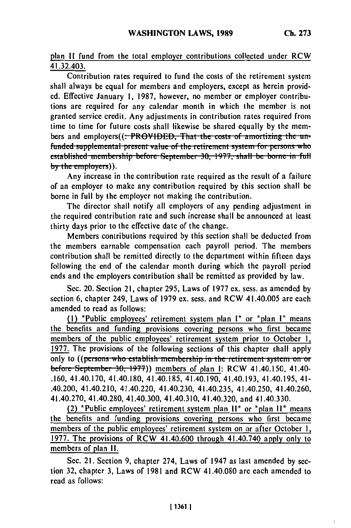Ĭ.

plan II fund from the total employer contributions collected under RCW 41.32.403.

Contribution rates required to fund the costs of the retirement system shall always be equal for members and employers, except as herein provided. Effective January 1, 1987, however, no member or employer contributions are required for any calendar month in which the member is not granted service credit. Any adjustments in contribution rates required from time to time for future costs shall likewise be shared equally by the members and employers((:-PROVIDED, That the costs of amortizing the unfunded supplemental present value of the retirement system for persons who established membership before September 30, 1977, shall be borne in full by the employers)).

Any increase in the contribution rate required as the result of a failure of an employer to make any contribution required by this section shall be borne in full by the employer not making the contribution.

The director shall notify all employers of any pending adjustment in the required contribution rate and such increase shall be announced at least thirty days prior to the effective date of the change.

Members contributions required by this section shall be deducted from the members earnable compensation each payroll period. The members contribution shall be remitted directly to the department within fifteen days following the end of the calendar month during which the payroll period ends and the employers contribution shall be remitted as provided by law.

Sec. 20. Section 21, chapter 295, Laws of 1977 ex. sess. as amended by section 6, chapter 249, Laws of 1979 ex. sess. and RCW 41.40.005 are each amended to read as follows:

(1) "Public employees' retirement system plan I" or "plan I" means the benefits and funding provisions covering persons who first became members of the public employees' retirement system prior to October 1, 1977. The provisions of the following sections of this chapter shall apply only to ((persons who establish membership in the retirement system on or before September 30, 1977)) members of plan I: RCW 41.40.150, 41.40-.160, 41.40.170, 41.40.180, 41.40.185, 41.40.190, 41.40.193, 41.40.195, 41-.40.200, 41.40.210, 41.40.220, 41.40.230, 41.40.235, 41.40.250, 41.40.260, 41.40.270, 41.40.280, 41.40.300, 41.40.310, 41.40.320, and 41.40.330.

(2) "Public employees' retirement system plan II" or "plan II" means the benefits and funding provisions covering persons who first became members of the public employees' retirement system on or after October 1, 1977. The provisions of RCW 41.40.600 through 41.40.740 apply only to members of plan II.

Sec. 21. Section 9, chapter 274, Laws of 1947 as last amended by section 32, chapter 3, Laws of 1981 and RCW 41.40.080 are each amended to read as follows: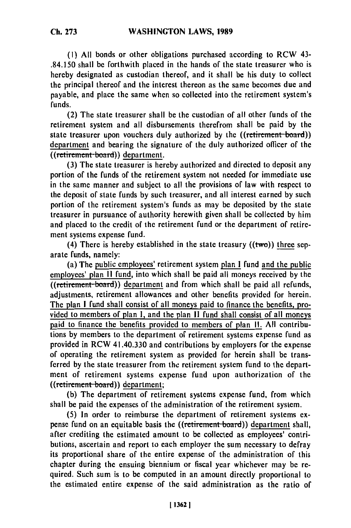**(1) All** bonds or other obligations purchased according to RCW 43- .84.150 shall be forthwith placed in the hands of the state treasurer who is hereby designated as custodian thereof, and it shall be his duty to collect the principal thereof and the interest thereon as the same becomes due and payable, and place the same when so collected into the retirement system's funds.

(2) The state treasurer shall be the custodian of all other funds of the retirement system and all disbursements therefrom shall be paid **by** the state treasurer upon vouchers duly authorized by the ((retirement board)) department and bearing the signature of the duly authorized officer of the ((retirement board)) department.

**(3)** The state treasurer is hereby authorized and directed to deposit any portion of the funds of the retirement system not needed for immediate use in the same manner and subject to all the provisions of law with respect to the deposit of state funds **by** such treasurer, and all interest earned **by** such portion of the retirement system's funds as may be deposited **by** the state treasurer in pursuance of authority herewith given shall be collected **by** him and placed to the credit of the retirement fund or the department of retirement systems expense fund.

(4) There is hereby established in the state treasury  $((tw<sub>o</sub>))$  three separate funds, namely:

(a) The public employees' retirement system plan **I** fund and the public employees' plan **11** fund, into which shall be paid all moneys received **by** the employees' plan II lund, into which shall be paid all moneys received by the<br>((retirement board)) department and from which shall be paid all refunds adjustments, retirement allowances and other benefits provided for herein. The plan **I** fund shall consist of all moneys paid to finance the benefits, provided to members of plan **I,** and the plan **It** fund shall consist of all moneys paid to finance the benefits provided to members of plan **II**. All contributions **by** members to the department of retirement systems expense fund as provided in RCW 41.40.330 and contributions **by** employers for the expense of operating the retirement system as provided for herein shall **be** transferred **by** the state treasurer from the retirement system fund to the department of retirement systems expense fund upon authorization of the ((retirement-board)) department;

**(b)** The department of retirement systems expense fund, from which shall be paid the expenses of the administration of the retirement system.

**(5)** In order to reimburse the department of retirement systems expense fund on an equitable basis the ((retirement board)) department shall, after crediting the estimated amount to be collected as employees' contributions, ascertain and report to each employer the sum necessary to defray its proportional share of the entire expense of the administration of this chapter during the ensuing biennium or fiscal year whichever may be required. Such sum is to be computed in an amount directly proportional to the estimated entire expense of the said administration as the ratio of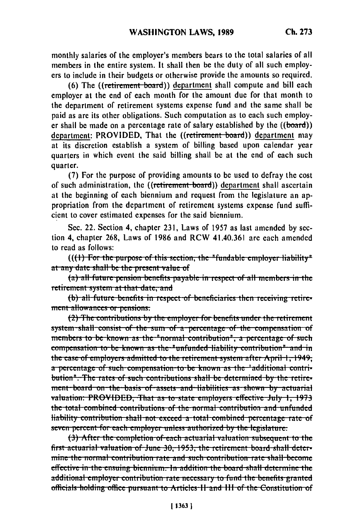monthly salaries of the employer's members bears to the total salaries of all members in the entire system. It shall then be the duty of all such employers to include in their budgets or otherwise provide the amounts so required.

(6) The ((retirement board)) department shall compute and bill each employer at the end of each month for the amount due for that month to the department of retirement systems expense fund and the same shall be paid as are its other obligations. Such computation as to each such employer shall be made on a percentage rate of salary established by the  $((**board**))$ department: PROVIDED, That the ((retirement board)) department may at its discretion establish a system of billing based upon calendar year quarters in which event the said billing shall be at the end of each such quarter.

(7) For the purpose of providing amounts to be used to defray the cost of such administration, the ((retirement board)) department shall ascertain at the beginning of each biennium and request from the legislature an appropriation from the department of retirement systems expense fund sufficient to cover estimated expenses for the said biennium.

Sec. 22. Section 4, chapter 231, Laws of 1957 as last amended by section 4, chapter 268, Laws of 1986 and RCW 41.40.361 are each amended to read as follows:

 $((+)$  For the purpose of this section, the "fundable employer liability" at any date shall be the present value of

(a) all future pension benefits payable in respect of all members in the retirement system at that date, and

(b) all future benefits in respect of beneficiaries then receiving retirement allowances or pensions.

(2) The contributions by the employer for benefits under the retirement system shall consist of the sum of a percentage of the compensation of members to be known as the "normal contribution", a percentage of such compensation to be known as the "unfunded liability contribution" and in the case of employers admitted to the retirement system after April 1, 1949; a percentage of such compensation to be known as the "additional contribution". The rates of such contributions shall be determined by the retirement-board on-the-basis of-assets and liabilities as shown by actuarial valuation: PROVIDED. That as to state employers effective July 1, 1973 the total combined contributions of the normal contribution and unfunded liability contribution shall not exceed a total combined percentage rate of seven percent for each employer unless authorized by the legislature.

(3) After the completion of each actuarial valuation subsequent to the first actuarial valuation of June 30, 1953, the retirement board shall determine the normal contribution rate and such contribution rate shall become effective in the ensuing biennium. In addition the board shall determine the additional employer contribution rate necessary to fund the benefits granted officials holding office pursuant to Articles II and III of the Constitution of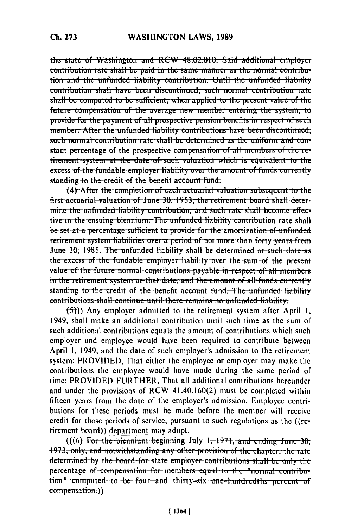the state of Washington and RCW 48.02.010. Said additional employer contribution rate shall be paid in the same manner as the normal contribution and the unfunded liability contribution. Until the unfunded liability contribution shall have been discontinued; such normal contribution rate shall be computed to be sufficient, when applied to the present value of the future compensation of the average new member entering the system, to provide for the payment of all prospective pension benefits in respect of such member. After the unfunded liability contributions have been discontinued; such normal contribution rate shall be determined as the uniform and constant percentage of the prospective compensation of all members of the retirement system at the date of such valuation which is equivalent to the excess of the fundable employer liability over the amount of funds currently standing to the credit of the benefit account fund.

(4) After the completion of each actuarial valuation subsequent to the first actuarial valuation of June 30, 1953, the retirement board shall determine the unfunded liability contribution, and such rate shall become effective in the ensuing biennium. The unfunded liability contribution rate shall be set at a percentage sufficient to provide for the amortization of unfunded retirement system liabilities over a period of not more than forty years from June 30, 1985. The unfunded liability shall be determined at such date as the excess of the fundable employer liability over the sum of the present value of the future normal contributions payable in respect of all members in the retirement system at that date, and the amount of all funds currently standing to the credit of the benefit account fund. The unfunded liability contributions shall continue until there remains no unfunded liability.

(5)) Any employer admitted to the retirement system after April 1, 1949, shall make an additional contribution until such time as the sum of such additional contributions equals the amount of contributions which such employer and employee would have been required to contribute between April 1, 1949, and the date of such employer's admission to the retirement system: PROVIDED, That either the employee or employer may make the contributions the employee would have made during the same period of time: PROVIDED FURTHER, That all additional contributions hereunder and under the provisions of RCW 41.40.160(2) must be completed within fifteen years from the date of the employer's admission. Employee contributions for these periods must be made before the member will receive credit for those periods of service, pursuant to such regulations as the  $(r_{\text{ce}})$ tirement board)) department may adopt.

 $((6)$  For the biennium beginning July 1, 1971, and ending June 30. 1973, only, and notwithstanding any other provision of the chapter, the rate determined by the board for state employer contributions shall be only the percentage of compensation for members equal to the "normal contribution<sup>"</sup> computed to be four and thirty=six one=hundredths percent of compensation:))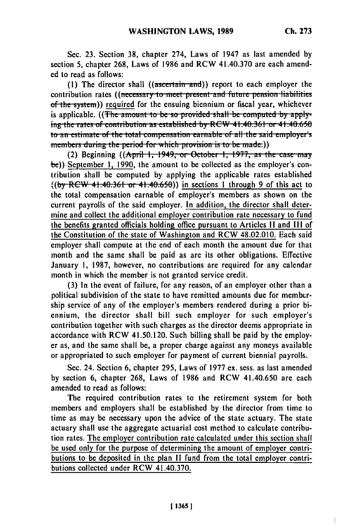$\begin{array}{c} \hline \end{array}$ 

Sec. 23. Section 38, chapter 274, Laws of 1947 as last amended by section 5, chapter 268, Laws of 1986 and RCW 41.40.370 are each amended to read as follows:

(1) The director shall  $((\text{assertain-and}))$  report to each employer the contribution rates ((necessary to meet present and future pension liabilities of the system)) required for the ensuing biennium or fiscal year, whichever is applicable. ((The amount to be so provided shall be computed by applying the rates of contribution as established by RCW 41.40.361 or 41.40.650 to an estimate of the total compensation earnable of all the said employer's members during the period for which provision is to be made.)

(2) Beginning ((April 1, 1949, or October 1, 1977, as the case may be)) September 1, 1990, the amount to be collected as the employer's contribution shall be computed by applying the applicable rates established  $((by RCW 41.40.361 or 41.40.650))$  in sections 1 through 9 of this act to the total compensation earnable of employer's members as shown on the current payrolls of the said employer. In addition, the director shall determine and collect the additional employer contribution rate necessary to fund the benefits granted officials holding office pursuant to Articles II and III of the Constitution of the state of Washington and RCW 48.02.010. Each said employer shall compute at the end of each month the amount due for that month and the same shall be paid as are its other obligations. Effective January 1, 1987, however, no contributions are required for any calendar month in which the member is not granted service credit.

(3) In the event of failure, for any reason, of an employer other than a political subdivision of the state to have remitted amounts due for membership service of any of the employer's members rendered during a prior biennium, the director shall bill such employer for such employer's contribution together with such charges as the director deems appropriate in accordance with RCW 41.50.120. Such billing shall be paid by the employer as, and the same shall be, a proper charge against any moneys available or appropriated to such employer for payment of current biennial payrolls.

Sec. 24. Section 6, chapter 295, Laws of 1977 ex. sess. as last amended by section 6, chapter 268, Laws of 1986 and RCW 41.40.650 are each amended to read as follows:

The required contribution rates to the retirement system for both members and employers shall be established by the director from time to time as may be necessary upon the advice of the state actuary. The state actuary shall use the aggregate actuarial cost method to calculate contribution rates. The employer contribution rate calculated under this section shall be used only for the purpose of determining the amount of employer contributions to be deposited in the plan II fund from the total employer contributions collected under RCW 41.40.370.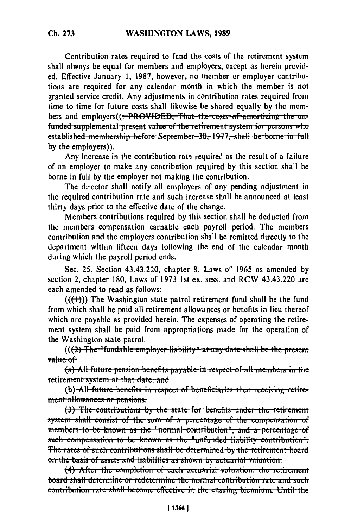Contribution rates required to fund the costs of the retirement system shall always be equal for members and employers, except as herein provided. Effective January 1, 1987, however, no member or employer contributions are required for any calendar month in which the member is not granted service credit. Any adjustments in contribution rates required from time to time for future costs shall likewise be shared equally by the members and employers((<del>: PROVIDED, That the costs of amortizing the un-</del> funded supplemental present value of the retirement system for persons who established membership before September 30, 1977, shall be borne in full by the employers)).

Any increase in the contribution rate required as the result of a failure of an employer to make any contribution required by this section shall be borne in full by the employer not making the contribution.

The director shall notify all employers of any pending adjustment in the required contribution rate and such increase shall be announced at least thirty days prior to the effective date of the change.

Members contributions required by this section shall be deducted from the members compensation earnable each payroll period. The members contribution and the employers contribution shall be remitted directly to the department within fifteen days following the end of the calendar month during which the payroll period ends.

Sec. 25. Section 43.43.220, chapter 8, Laws of 1965 as amended by section 2, chapter 180, Laws of 1973 1st ex. sess. and RCW 43.43.220 are each amended to read as follows:

 $((+)$ ) The Washington state patrol retirement fund shall be the fund from which shall be paid all retirement allowances or benefits in lieu thereof which are payable as provided herein. The expenses of operating the retirement system shall be paid from appropriations made for the operation of the Washington state patrol.

 $((2)$  The "fundable employer liability" at any date shall be the present value of:

(a) All future pension benefits payable in respect of all members in the retirement system at that date, and

(b) All future benefits in respect of beneficiaries then receiving retirement allowances or pensions.

(3) The contributions by-the state for benefits under the retirement system shall consist of the sum of a percentage of the compensation of members to be known as the "normal contribution", and a percentage of such compensation to be known as the "unfunded liability contribution". The rates of such contributions shall be determined by the retirement board on the basis of assets and liabilities as shown by actuarial valuation.

(4) After the completion of each actuarial valuation, the retirement board shall determine or redetermine the normal contribution rate and such contribution rate shall become effective in the ensuing biennium. Until the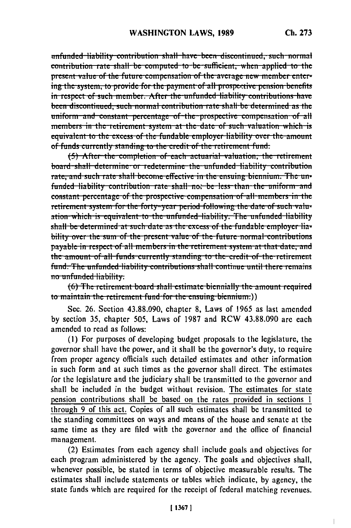unfunded liability contribution shall have been discontinued, such normal contribution rate shall be computed to be sufficient, when applied to the present value of the future compensation of the average new member entering the system, to provide for the payment of all prospective pension benefits in respect of such member. After the unfunded liability contributions have been discontinued, such normal contribution rate shall be determined as the uniform and constant percentage of the prospective compensation of all members in the retirement system at the date of such valuation which is equivalent to the excess of the fundable employer liability over the amount of funds currently standing to the credit of the retirement fund.

(5) After the completion of each actuarial valuation, the retirement board shall determine or redetermine the unfunded liability contribution rate, and such rate shall become effective in the ensuing biennium. The unfunded liability contribution rate shall not be less than the uniform and constant percentage of the prospective compensation of all members in the retirement system for the forty-year period following the date of such valuation which is couivalent to the unfunded liability. The unfunded liability shall be determined at such date as the excess of the fundable employer liability over the sum of the present value of the future normal contributions payable in respect of all members in the retirement system at that date, and the amount of all funds currently standing to the credit of the retirement fund. The unfunded liability contributions shall continue until there remains no unfunded liability.

(6) The retirement board shall estimate biennially the amount required to maintain the retirement fund for the ensuing biennium.))

Sec. 26. Section 43.88.090, chapter 8, Laws of 1965 as last amended by section 35, chapter 505, Laws of 1987 and RCW 43.88.090 are each amended to read as follows:

(1) For purposes of developing budget proposals to the legislature, the governor shall have the power, and it shall be the governor's duty, to require from proper agency officials such detailed estimates and other information in such form and at such times as the governor shall direct. The estimates for the legislature and the judiciary shall be transmitted to the governor and shall be included in the budget without revision. The estimates for state pension contributions shall be based on the rates provided in sections 1 through 9 of this act. Copies of all such estimates shall be transmitted to the standing committees on ways and means of the house and senate at the same time as they are filed with the governor and the office of financial management.

(2) Estimates from each agency shall include goals and objectives for each program administered by the agency. The goals and objectives shall, whenever possible, be stated in terms of objective measurable results. The estimates shall include statements or tables which indicate, by agency, the state funds which are required for the receipt of federal matching revenues.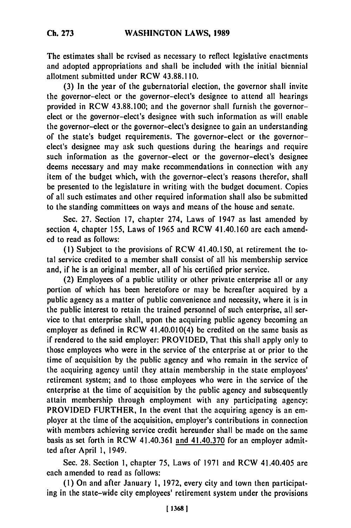The estimates shall be revised as necessary to reflect legislative enactments and adopted appropriations and shall be included with the initial biennial allotment submitted under RCW **43.88.110.**

**(3)** In the year of the gubernatorial election, the governor shall invite the governor-elect or the governor-elect's designee to attend all hearings provided in RCW **43.88.100;** and the governor shall furnish the governorelect or the governor-elect's designee with such information as will enable the governor-elect or the governor-elect's designee to gain an understanding of the state's budget requirements. The governor-elect or the governorelect's designee may ask such questions during the hearings and require such information as the governor-elect or the governor-elect's designee deems necessary and may make recommendations in connection with any item of the budget which, with the governor-elect's reasons therefor, shall be presented to the legislature in writing with the budget document. Copies of all such estimates and other required information shall also be submitted to the standing committees on ways and means of the house and senate.

Sec. **27.** Section **17,** chapter 274, Laws of 1947 as last amended **by** section 4, chapter **155,** Laws of **1965** and RCW 41.40.160 are each amend**ed** to read as follows:

**(I)** Subject to the provisions of RCW 41.40.150, at retirement the total service credited to a member shall consist of all his membership service and, if he is an original member, all of his certified prior service.

(2) Employees of a public utility or other private enterprise all or any portion of which has been heretofore or may be hereafter acquired **by** a public agency as a matter of public convenience and necessity, where it is in the public interest to retain the trained personnel of such enterprise, all service to that enterprise shall, upon the acquiring public agency becoming an employer as defined in RCW 41.40.010(4) be credited on the same basis as if rendered to the said employer: PROVIDED, That this shall apply only to those employees who were in the service of the enterprise at or prior to the time of acquisition **by** the public agency and who remain in the service of the acquiring agency until they attain membership in the state employees' retirement system; and to those employees who were in the service of the enterprise at the time of acquisition **by** the public agency and subsequently attain membership through employment with any participating agency: PROVIDED FURTHER, In the event that the acquiring agency is an employer at the time of the acquisition, employer's contributions in connection with members achieving service credit hereunder shall be made on the same basis as set forth in RCW 41.40.361 and 41.40.370 for an employer admitted after April **1,** 1949.

Sec. **28.** Section **1,** chapter **75,** Laws of **1971** and RCW 41.40.405 are each amended to read as follows:

**(1)** On and after January **1, 1972,** every city and town then participating in the state-wide city employees' retirement system under the provisions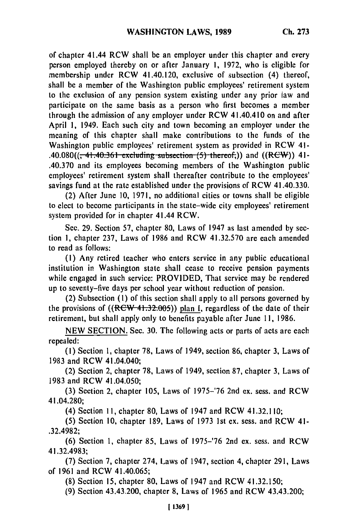of chapter 41.44 RCW shall be an employer under this chapter and every person employed thereby on or after January 1, 1972, who is eligible for membership under RCW 41.40.120, exclusive of subsection (4) thereof, shall be a member of the Washington public employees' retirement system to the exclusion of any pension system existing under any prior law and participate on the same basis as a person who first becomes a member through the admission of any employer under RCW 41.40.410 on and after April 1, 1949. Each such city and town becoming an employer under the meaning of this chapter shall make contributions to the funds of the Washington public employees' retirement system as provided in RCW 41- .40.080((, 41.40.361 excluding subsection (5) thereof.)) and ((RCW)) 41-.40.370 and its employees becoming members of the Washington public employees' retirement system shall thereafter contribute to the employees' savings fund at the rate established under the provisions of RCW 41.40.330.

(2) After June 10, 1971, no additional cities or towns shall be eligible to elect to become participants in the state-wide city employees' retirement system provided for in chapter 41.44 RCW.

Sec. 29. Section 57, chapter 80, Laws of 1947 as last amended by section 1, chapter 237, Laws of 1986 and RCW 41.32.570 are each amended to read as follows:

**(1)** Any retired teacher who enters service in any public educational institution in Washington state shall cease to receive pension payments while engaged in such service: PROVIDED, That service may be rendered up to seventy-five days per school year without reduction of pension.

(2) Subsection **(1)** of this section shall apply to all persons governed by the provisions of  $((R<sub>FW-41.32.005)</sub>)$  plan I, regardless of the date of their retirement, but shall apply only to benefits payable after June 11, 1986.

NEW SECTION. Sec. 30. The following acts or parts of acts are each repealed:

(1) Section 1, chapter 78, Laws of 1949, section 86, chapter 3, Laws of 1983 and RCW 41.04.040;

(2) Section 2, chapter 78, Laws of 1949, section 87, chapter 3, Laws of 1983 and RCW 41.04.050;

(3) Section 2, chapter 105, Laws of 1975-'76 2nd ex. sess. and RCW 41.04.280;

(4) Section **11,** chapter 80, Laws of 1947 and RCW 41.32.110;

(5) Section 10, chapter 189, Laws of 1973 1st ex. sess. and RCW 41- .32.4982;

(6) Section 1, chapter 85, Laws of 1975-'76 2nd ex. sess. and RCW 41.32.4983;

(7) Section 7, chapter 274, Laws of 1947, section 4, chapter 291, Laws of 1961 and RCW 41.40.065;

(8) Section 15, chapter 80, Laws of 1947 and RCW 41.32.150;

(9) Section 43.43.200, chapter 8, Laws of 1965 and RCW 43.43.200;